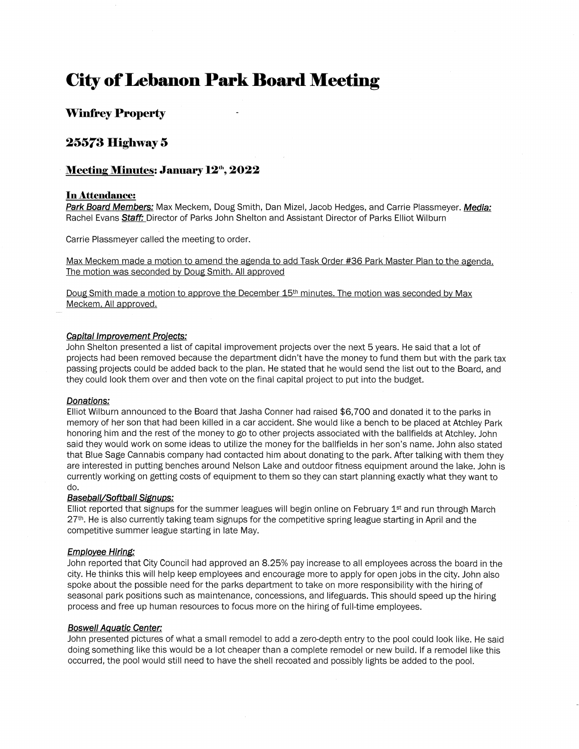# **City of Lebanon Park Board Meeting**

# **Winfrey Property**

# **25573 Higbway 5**

## **Meeting Minutes: January 12<sup>th</sup>, 2022**

### **In Attendance:**

**Park Board Members:** Max Meckem, Doug Smith, Dan Mizel, Jacob Hedges, and Carrie Plassmeyer. **Media:**  Rachel Evans **Staff:** Director of Parks John Shelton and Assistant Director of Parks Elliot Wilburn

Carrie Plassmeyer called the meeting to order.

Max Meckem made a motion to amend the agenda to add Task Order #36 Park Master Plan to the agenda. The motion was seconded by Doug Smith. All approved

Doug Smith made a motion to approve the December 15<sup>th</sup> minutes. The motion was seconded by Max Meckem. All approved.

#### **Capital Improvement Proiects:**

John Shelton presented a list of capital improvement projects over the next 5 years. He said that a lot of projects had been removed because the department didn't have the money to fund them but with the park tax passing projects could be added back to the plan. He stated that he would send the list out to the Board, and they could look them over and then vote on the final capital project to put into the budget.

#### **Donations:**

Elliot Wilburn announced to the Board that Jasha Conner had raised \$6,700 and donated it to the parks in memory of her son that had been killed in a car accident. She would like a bench to be placed at Atchley Park honoring him and the rest of the money to go to other projects associated with the ballfields at Atchley. John said they would work on some ideas to utilize the money for the ballfields in her son's name. John also stated that Blue Sage Cannabis company had contacted him about donating to the park. After talking with them they are interested in putting benches around Nelson Lake and outdoor fitness equipment around the lake. John is currently working on getting costs of equipment to them so they can start planning exactly what they want to do.

#### **Baseball/Softball Signups:**

Elliot reported that signups for the summer leagues will begin online on February 1<sup>st</sup> and run through March 27<sup>th</sup>. He is also currently taking team signups for the competitive spring league starting in April and the competitive summer league starting in late May.

#### **Employee Hiring:**

John reported that City Council had approved an 8.25% pay increase to all employees across the board in the city. He thinks this will help keep employees and encourage more to apply for open jobs in the city. John also spoke about the possible need for the parks department to take on more responsibility with the hiring of seasonal park positions such as maintenance, concessions, and lifeguards. This should speed up the hiring process and free up human resources to focus more on the hiring of full-time employees.

#### **Boswell Aquatic Center:**

John presented pictures of what a small remodel to add a zero-depth entry to the pool could look like. He said doing something like this would be a lot cheaper than a complete remodel or new build. If a remodel like this occurred, the pool would still need to have the shell recoated and possibly lights be added to the pool.